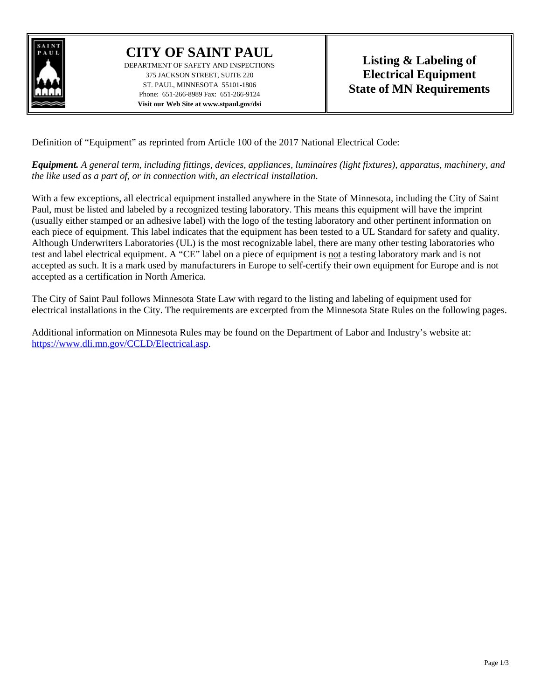

## **CITY OF SAINT PAUL**

DEPARTMENT OF SAFETY AND INSPECTIONS 375 JACKSON STREET, SUITE 220 ST. PAUL, MINNESOTA 55101-1806 Phone: 651-266-8989 Fax: 651-266-9124 **Visit our Web Site at www.stpaul.gov/dsi**

Definition of "Equipment" as reprinted from Article 100 of the 2017 National Electrical Code:

*Equipment. A general term, including fittings, devices, appliances, luminaires (light fixtures), apparatus, machinery, and the like used as a part of, or in connection with, an electrical installation*.

With a few exceptions, all electrical equipment installed anywhere in the State of Minnesota, including the City of Saint Paul, must be listed and labeled by a recognized testing laboratory. This means this equipment will have the imprint (usually either stamped or an adhesive label) with the logo of the testing laboratory and other pertinent information on each piece of equipment. This label indicates that the equipment has been tested to a UL Standard for safety and quality. Although Underwriters Laboratories (UL) is the most recognizable label, there are many other testing laboratories who test and label electrical equipment. A "CE" label on a piece of equipment is not a testing laboratory mark and is not accepted as such. It is a mark used by manufacturers in Europe to self-certify their own equipment for Europe and is not accepted as a certification in North America.

The City of Saint Paul follows Minnesota State Law with regard to the listing and labeling of equipment used for electrical installations in the City. The requirements are excerpted from the Minnesota State Rules on the following pages.

Additional information on Minnesota Rules may be found on the Department of Labor and Industry's website at: [https://www.dli.mn.gov/CCLD/Electrical.asp.](https://www.dli.mn.gov/CCLD/Electrical.asp)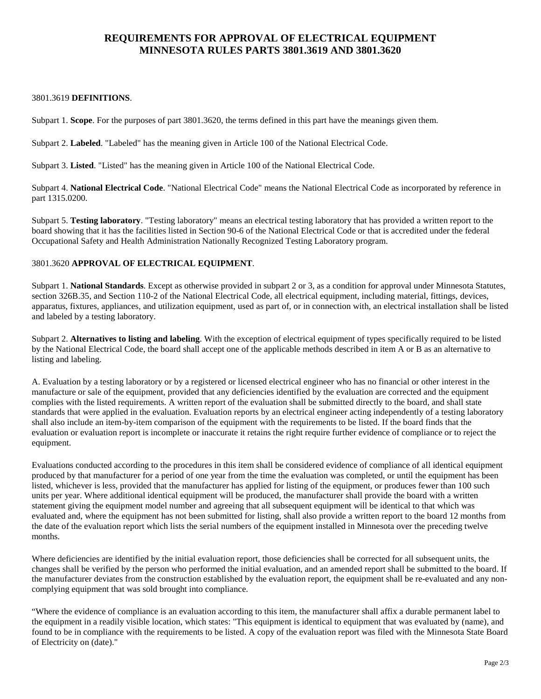## **REQUIREMENTS FOR APPROVAL OF ELECTRICAL EQUIPMENT MINNESOTA RULES PARTS 3801.3619 AND 3801.3620**

## 3801.3619 **DEFINITIONS**.

Subpart 1. **Scope**. For the purposes of part 3801.3620, the terms defined in this part have the meanings given them.

Subpart 2. **Labeled**. "Labeled" has the meaning given in Article 100 of the National Electrical Code.

Subpart 3. **Listed**. "Listed" has the meaning given in Article 100 of the National Electrical Code.

Subpart 4. **National Electrical Code**. "National Electrical Code" means the National Electrical Code as incorporated by reference in part 1315.0200.

Subpart 5. **Testing laboratory**. "Testing laboratory" means an electrical testing laboratory that has provided a written report to the board showing that it has the facilities listed in Section 90-6 of the National Electrical Code or that is accredited under the federal Occupational Safety and Health Administration Nationally Recognized Testing Laboratory program.

## 3801.3620 **APPROVAL OF ELECTRICAL EQUIPMENT**.

Subpart 1. **National Standards**. Except as otherwise provided in subpart 2 or 3, as a condition for approval under Minnesota Statutes, section 326B.35, and Section 110-2 of the National Electrical Code, all electrical equipment, including material, fittings, devices, apparatus, fixtures, appliances, and utilization equipment, used as part of, or in connection with, an electrical installation shall be listed and labeled by a testing laboratory.

Subpart 2. **Alternatives to listing and labeling**. With the exception of electrical equipment of types specifically required to be listed by the National Electrical Code, the board shall accept one of the applicable methods described in item A or B as an alternative to listing and labeling.

A. Evaluation by a testing laboratory or by a registered or licensed electrical engineer who has no financial or other interest in the manufacture or sale of the equipment, provided that any deficiencies identified by the evaluation are corrected and the equipment complies with the listed requirements. A written report of the evaluation shall be submitted directly to the board, and shall state standards that were applied in the evaluation. Evaluation reports by an electrical engineer acting independently of a testing laboratory shall also include an item-by-item comparison of the equipment with the requirements to be listed. If the board finds that the evaluation or evaluation report is incomplete or inaccurate it retains the right require further evidence of compliance or to reject the equipment.

Evaluations conducted according to the procedures in this item shall be considered evidence of compliance of all identical equipment produced by that manufacturer for a period of one year from the time the evaluation was completed, or until the equipment has been listed, whichever is less, provided that the manufacturer has applied for listing of the equipment, or produces fewer than 100 such units per year. Where additional identical equipment will be produced, the manufacturer shall provide the board with a written statement giving the equipment model number and agreeing that all subsequent equipment will be identical to that which was evaluated and, where the equipment has not been submitted for listing, shall also provide a written report to the board 12 months from the date of the evaluation report which lists the serial numbers of the equipment installed in Minnesota over the preceding twelve months.

Where deficiencies are identified by the initial evaluation report, those deficiencies shall be corrected for all subsequent units, the changes shall be verified by the person who performed the initial evaluation, and an amended report shall be submitted to the board. If the manufacturer deviates from the construction established by the evaluation report, the equipment shall be re-evaluated and any noncomplying equipment that was sold brought into compliance.

"Where the evidence of compliance is an evaluation according to this item, the manufacturer shall affix a durable permanent label to the equipment in a readily visible location, which states: "This equipment is identical to equipment that was evaluated by (name), and found to be in compliance with the requirements to be listed. A copy of the evaluation report was filed with the Minnesota State Board of Electricity on (date)."